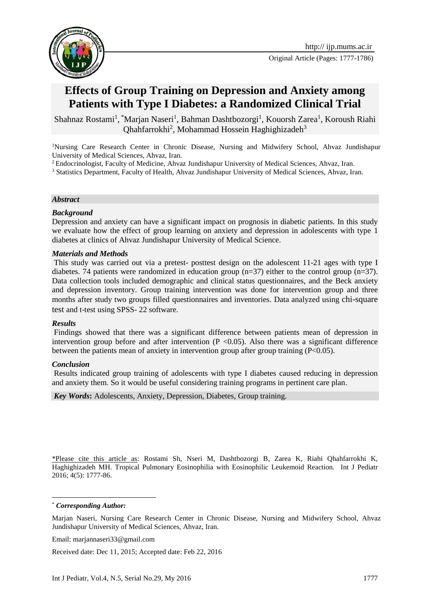



# **Effects of Group Training on Depression and Anxiety among Patients with Type I Diabetes: a Randomized Clinical Trial**

Shahnaz Rostami<sup>1</sup>, \*Marjan Naseri<sup>1</sup>, Bahman Dashtbozorgi<sup>1</sup>, Kouorsh Zarea<sup>1</sup>, Koroush Riahi Qhahfarrokhi<sup>2</sup>, Mohammad Hossein Haghighizadeh<sup>3</sup>

<sup>1</sup>Nursing Care Research Center in Chronic Disease, Nursing and Midwifery School, Ahvaz Jundishapur University of Medical Sciences, Ahvaz, Iran.

<sup>2</sup> Endocrinologist, Faculty of Medicine, Ahvaz Jundishapur University of Medical Sciences, Ahvaz, Iran.

<sup>3</sup> Statistics Department, Faculty of Health, Ahvaz Jundishapur University of Medical Sciences, Ahvaz, Iran.

#### *Abstract*

#### *Background*

Depression and anxiety can have a significant impact on prognosis in diabetic patients. In this study we evaluate how the effect of group learning on anxiety and depression in adolescents with type 1 diabetes at clinics of Ahvaz Jundishapur University of Medical Science.

#### *Materials and Methods*

This study was carried out via a pretest- posttest design on the adolescent 11-21 ages with type I diabetes. 74 patients were randomized in education group (n=37) either to the control group (n=37). Data collection tools included demographic and clinical status questionnaires, and the Beck anxiety and depression inventory. Group training intervention was done for intervention group and three months after study two groups filled questionnaires and inventories. Data analyzed using chi-square test and t-test using SPSS- 22 software.

#### *Results*

Findings showed that there was a significant difference between patients mean of depression in intervention group before and after intervention  $(P \le 0.05)$ . Also there was a significant difference between the patients mean of anxiety in intervention group after group training (P<0.05).

#### *Conclusion*

Results indicated group training of adolescents with type I diabetes caused reducing in depression and anxiety them. So it would be useful considering training programs in pertinent care plan.

*Key Words***:** Adolescents, Anxiety, Depression, Diabetes, Group training.

\*Please cite this article as: Rostami Sh, Nseri M, Dashtbozorgi B, Zarea K, Riahi Qhahfarrokhi K, Haghighizadeh MH. Tropical Pulmonary Eosinophilia with Eosinophilic Leukemoid Reaction. Int J Pediatr 2016; 4(5): 1777-86.

\* *Corresponding Author:*

1

Email: [marjannaseri33@gmail.com](mailto:marjannaseri33@gmail.com)

Received date: Dec 11, 2015; Accepted date: Feb 22, 2016

Marjan Naseri, Nursing Care Research Center in Chronic Disease, Nursing and Midwifery School, Ahvaz Jundishapur University of Medical Sciences, Ahvaz, Iran.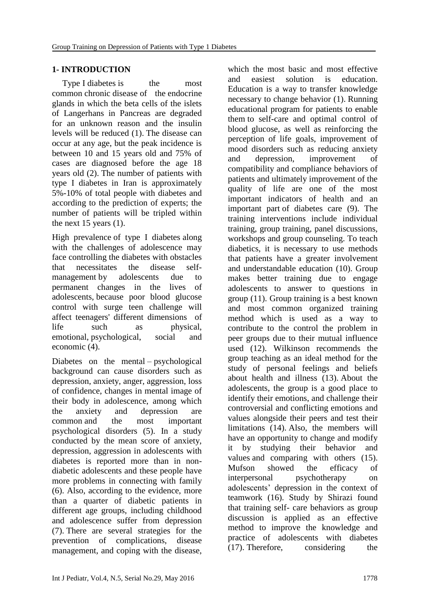### **1- INTRODUCTION**

Type I diabetes is the most common chronic disease of the endocrine glands in which the beta cells of the islets of Langerhans in Pancreas are degraded for an unknown reason and the insulin levels will be reduced (1). The disease can occur at any age, but the peak incidence is between 10 and 15 years old and 75% of cases are diagnosed before the age 18 years old (2). The number of patients with type I diabetes in Iran is approximately 5%-10% of total people with diabetes and according to the prediction of experts; the number of patients will be tripled within the next 15 years (1).

High prevalence of type I diabetes along with the challenges of adolescence may face controlling the diabetes with obstacles that necessitates the disease selfmanagement by adolescents due to permanent changes in the lives of adolescents, because poor blood glucose control with surge teen challenge will affect teenagers' different dimensions of life such as physical, emotional, psychological, social and economic (4).

Diabetes on the mental – psychological background can cause disorders such as depression, anxiety, anger, aggression, loss of confidence, changes in mental image of their body in adolescence, among which the anxiety and depression are common and the most important psychological disorders (5). In a study conducted by the mean score of anxiety, depression, aggression in adolescents with diabetes is reported more than in nondiabetic adolescents and these people have more problems in connecting with family (6). Also, according to the evidence, more than a quarter of diabetic patients in different age groups, including childhood and adolescence suffer from depression (7). There are several strategies for the prevention of complications, disease management, and coping with the disease,

which the most basic and most effective and easiest solution is education. Education is a way to transfer knowledge necessary to change behavior (1). Running educational program for patients to enable them to self-care and optimal control of blood glucose, as well as reinforcing the perception of life goals, improvement of mood disorders such as reducing anxiety and depression, improvement of compatibility and compliance behaviors of patients and ultimately improvement of the quality of life are one of the most important indicators of health and an important part of diabetes care (9). The training interventions include individual training, group training, panel discussions, workshops and group counseling. To teach diabetics, it is necessary to use methods that patients have a greater involvement and understandable education (10). Group makes better training due to engage adolescents to answer to questions in group (11). Group training is a best known and most common organized training method which is used as a way to contribute to the control the problem in peer groups due to their mutual influence used (12). Wilkinson recommends the group teaching as an ideal method for the study of personal feelings and beliefs about health and illness (13). About the adolescents, the group is a good place to identify their emotions, and challenge their controversial and conflicting emotions and values alongside their peers and test their limitations (14). Also, the members will have an opportunity to change and modify it by studying their behavior and values and comparing with others (15). Mufson showed the efficacy of interpersonal psychotherapy on adolescents' depression in the context of teamwork (16). Study by Shirazi found that training self- care behaviors as group discussion is applied as an effective method to improve the knowledge and practice of adolescents with diabetes (17). Therefore, considering the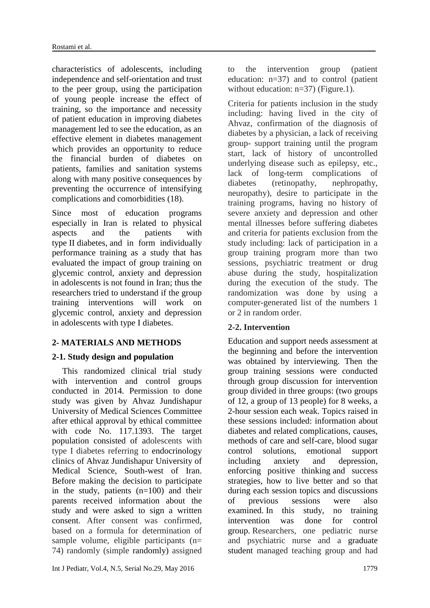characteristics of adolescents, including independence and self-orientation and trust to the peer group, using the participation of young people increase the effect of training, so the importance and necessity of patient education in improving diabetes management led to see the education, as an effective element in diabetes management which provides an opportunity to reduce the financial burden of diabetes on patients, families and sanitation systems along with many positive consequences by preventing the occurrence of intensifying complications and comorbidities (18).

Since most of education programs especially in Iran is related to physical aspects and the patients with type II diabetes, and in form individually performance training as a study that has evaluated the impact of group training on glycemic control, anxiety and depression in adolescents is not found in Iran; thus the researchers tried to understand if the group training interventions will work on glycemic control, anxiety and depression in adolescents with type I diabetes.

# **2- MATERIALS AND METHODS**

# **2-1. Study design and population**

This randomized clinical trial study with intervention and control groups conducted in 2014. Permission to done study was given by Ahvaz Jundishapur University of Medical Sciences Committee after ethical approval by ethical committee with code No. 117.1393. The target population consisted of adolescents with type I diabetes referring to endocrinology clinics of Ahvaz Jundishapur University of Medical Science, South-west of Iran. Before making the decision to participate in the study, patients (n=100) and their parents received information about the study and were asked to sign a written consent. After consent was confirmed, based on a formula for determination of sample volume, eligible participants (n= 74) randomly (simple randomly) assigned to the intervention group (patient education: n=37) and to control (patient without education:  $n=37$ ) (Figure.1).

Criteria for patients inclusion in the study including: having lived in the city of Ahvaz, confirmation of the diagnosis of diabetes by a physician, a lack of receiving group- support training until the program start, lack of history of uncontrolled underlying disease such as epilepsy, etc., lack of long-term complications of diabetes (retinopathy, nephropathy, neuropathy), desire to participate in the training programs, having no history of severe anxiety and depression and other mental illnesses before suffering diabetes and criteria for patients exclusion from the study including: lack of participation in a group training program more than two sessions, psychiatric treatment or drug abuse during the study, hospitalization during the execution of the study. The randomization was done by using a computer-generated list of the numbers 1 or 2 in random order.

# **2-2. Intervention**

Education and support needs assessment at the beginning and before the intervention was obtained by interviewing. Then the group training sessions were conducted through group discussion for intervention group divided in three groups: (two groups of 12, a group of 13 people) for 8 weeks, a 2-hour session each weak. Topics raised in these sessions included: information about diabetes and related complications, causes, methods of care and self-care, blood sugar control solutions, emotional support including anxiety and depression, enforcing positive thinking and success strategies, how to live better and so that during each session topics and discussions of previous sessions were also examined. In this study, no training intervention was done for control group. Researchers, one pediatric nurse and psychiatric nurse and a graduate student managed teaching group and had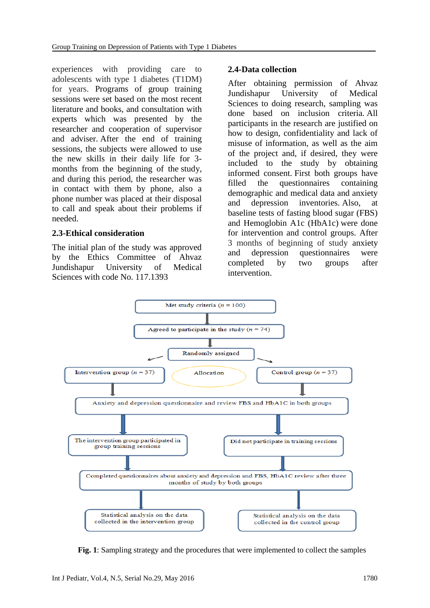experiences with providing care to adolescents with type 1 diabetes (T1DM) for years. Programs of group training sessions were set based on the most recent literature and books, and consultation with experts which was presented by the researcher and cooperation of supervisor and adviser. After the end of training sessions, the subjects were allowed to use the new skills in their daily life for 3 months from the beginning of the study, and during this period, the researcher was in contact with them by phone, also a phone number was placed at their disposal to call and speak about their problems if needed.

#### **2.3-Ethical consideration**

The initial plan of the study was approved by the Ethics Committee of Ahvaz Jundishapur University of Medical Sciences with code No. 117.1393

#### **2.4-Data collection**

After obtaining permission of Ahvaz Jundishapur University of Medical Sciences to doing research, sampling was done based on inclusion criteria. All participants in the research are justified on how to design, confidentiality and lack of misuse of information, as well as the aim of the project and, if desired, they were included to the study by obtaining informed consent. First both groups have filled the questionnaires containing demographic and medical data and anxiety and depression inventories. Also, at baseline tests of fasting blood sugar (FBS) and Hemoglobin A1c (HbA1c) were done for intervention and control groups. After 3 months of beginning of study anxiety and depression questionnaires were completed by two groups after intervention.



**Fig. 1**: Sampling strategy and the procedures that were implemented to collect the samples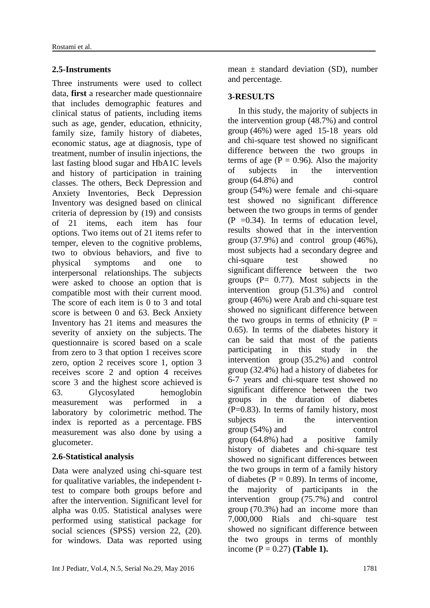# **2.5-Instruments**

Three instruments were used to collect data, **first** a researcher made questionnaire that includes demographic features and clinical status of patients, including items such as age, gender, education, ethnicity, family size, family history of diabetes, economic status, age at diagnosis, type of treatment, number of insulin injections, the last fasting blood sugar and HbA1C levels and history of participation in training classes. The others, Beck Depression and Anxiety Inventories, Beck Depression Inventory was designed based on clinical criteria of depression by (19) and consists of 21 items, each item has four options. Two items out of 21 items refer to temper, eleven to the cognitive problems, two to obvious behaviors, and five to physical symptoms and one to interpersonal relationships. The subjects were asked to choose an option that is compatible most with their current mood. The score of each item is 0 to 3 and total score is between 0 and 63. Beck Anxiety Inventory has 21 items and measures the severity of anxiety on the subjects. The questionnaire is scored based on a scale from zero to 3 that option 1 receives score zero, option 2 receives score 1, option 3 receives score 2 and option 4 receives score 3 and the highest score achieved is 63. Glycosylated hemoglobin measurement was performed in a laboratory by colorimetric method. The index is reported as a percentage. FBS measurement was also done by using a glucometer.

# **2.6-Statistical analysis**

Data were analyzed using chi-square test for qualitative variables, the independent ttest to compare both groups before and after the intervention. Significant level for alpha was 0.05. Statistical analyses were performed using statistical package for social sciences (SPSS) version 22, (20). for windows. Data was reported using

Int J Pediatr, Vol.4, N.5, Serial No.29, May 2016 1781 1781

mean  $\pm$  standard deviation (SD), number and percentage.

# **3-RESULTS**

In this study, the majority of subjects in the intervention group (48.7%) and control group (46%) were aged 15-18 years old and chi-square test showed no significant difference between the two groups in terms of age ( $P = 0.96$ ). Also the majority of subjects in the intervention group (64.8%) and control group (54%) were female and chi-square test showed no significant difference between the two groups in terms of gender  $(P = 0.34)$ . In terms of education level, results showed that in the intervention group (37.9%) and control group (46%), most subjects had a secondary degree and chi-square test showed no significant difference between the two groups  $(P= 0.77)$ . Most subjects in the intervention group (51.3%) and control group (46%) were Arab and chi-square test showed no significant difference between the two groups in terms of ethnicity  $(P =$ 0.65). In terms of the diabetes history it can be said that most of the patients participating in this study in the intervention group (35.2%) and control group (32.4%) had a history of diabetes for 6-7 years and chi-square test showed no significant difference between the two groups in the duration of diabetes (P=0.83). In terms of family history, most subjects in the intervention group (54%) and control group (64.8%) had a positive family history of diabetes and chi-square test showed no significant differences between the two groups in term of a family history of diabetes ( $P = 0.89$ ). In terms of income, the majority of participants in the intervention group (75.7%) and control group (70.3%) had an income more than 7,000,000 Rials and chi-square test showed no significant difference between the two groups in terms of monthly income (P = 0.27) **(Table 1).**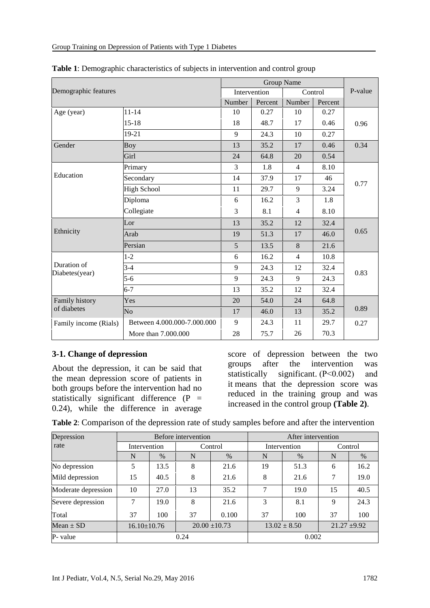| Demographic features          |                             |              |         |                |         |         |  |
|-------------------------------|-----------------------------|--------------|---------|----------------|---------|---------|--|
|                               |                             | Intervention |         | Control        |         | P-value |  |
|                               |                             | Number       | Percent | Number         | Percent |         |  |
| Age (year)                    | $11 - 14$                   | 10           | 0.27    | 10             | 0.27    |         |  |
|                               | $15 - 18$                   | 18           | 48.7    | 17             | 0.46    | 0.96    |  |
|                               | 19-21                       | 9            | 24.3    | 10             | 0.27    |         |  |
| Gender                        | <b>Boy</b>                  | 13           | 35.2    | 17             | 0.46    | 0.34    |  |
|                               | Girl                        | 24           | 64.8    | 20             | 0.54    |         |  |
|                               | Primary                     | 3            | 1.8     | $\overline{4}$ | 8.10    |         |  |
| Education                     | Secondary                   | 14           | 37.9    | 17             | 46      |         |  |
|                               | <b>High School</b>          | 11           | 29.7    | 9              | 3.24    | 0.77    |  |
|                               | Diploma                     | 6            | 16.2    | $\overline{3}$ | 1.8     |         |  |
|                               | Collegiate                  | 3            | 8.1     | $\overline{4}$ | 8.10    |         |  |
| Ethnicity                     | Lor                         | 13           | 35.2    | 12             | 32.4    |         |  |
|                               | Arab                        | 19           | 51.3    | 17             | 46.0    | 0.65    |  |
|                               | Persian                     | 5            | 13.5    | 8              | 21.6    |         |  |
|                               | $1 - 2$                     | 6            | 16.2    | $\overline{4}$ | 10.8    | 0.83    |  |
| Duration of<br>Diabetes(year) | $3-4$                       | 9            | 24.3    | 12             | 32.4    |         |  |
|                               | $5 - 6$                     | 9            | 24.3    | 9              | 24.3    |         |  |
|                               | $6 - 7$                     | 13           | 35.2    | 12             | 32.4    |         |  |
| Family history<br>of diabetes | Yes                         | 20           | 54.0    | 24             | 64.8    |         |  |
|                               | N <sub>o</sub>              | 17           | 46.0    | 13             | 35.2    | 0.89    |  |
| Family income (Rials)         | Between 4.000.000-7.000.000 | 9            | 24.3    | 11             | 29.7    | 0.27    |  |
|                               | More than 7.000.000         | 28           | 75.7    | 26             | 70.3    |         |  |

| Table 1: Demographic characteristics of subjects in intervention and control group |  |
|------------------------------------------------------------------------------------|--|
|------------------------------------------------------------------------------------|--|

# **3-1. Change of depression**

About the depression, it can be said that the mean depression score of patients in both groups before the intervention had no statistically significant difference  $(P =$ 0.24), while the difference in average score of depression between the two groups after the intervention was statistically significant. (P<0.002) and it means that the depression score was reduced in the training group and was increased in the control group **(Table 2)**.

| Depression          | Before intervention |                         |                   |              | After intervention |         |                  |      |
|---------------------|---------------------|-------------------------|-------------------|--------------|--------------------|---------|------------------|------|
| rate                |                     | Control<br>Intervention |                   | Intervention |                    | Control |                  |      |
|                     | N                   | $\%$                    | N                 | $\%$         | N                  | $\%$    | N                | $\%$ |
| No depression       | 5                   | 13.5                    | 8                 | 21.6         | 19                 | 51.3    | 6                | 16.2 |
| Mild depression     | 15                  | 40.5                    | 8                 | 21.6         | 8                  | 21.6    | 7                | 19.0 |
| Moderate depression | 10                  | 27.0                    | 13                | 35.2         | 7                  | 19.0    | 15               | 40.5 |
| Severe depression   | 7                   | 19.0                    | 8                 | 21.6         | 3                  | 8.1     | 9                | 24.3 |
| Total               | 37                  | 100                     | 37                | 0.100        | 37                 | 100     | 37               | 100  |
| $Mean \pm SD$       | $16.10 \pm 10.76$   |                         | $20.00 \pm 10.73$ |              | $13.02 \pm 8.50$   |         | $21.27 \pm 9.92$ |      |
| P- value            | 0.24                |                         |                   | 0.002        |                    |         |                  |      |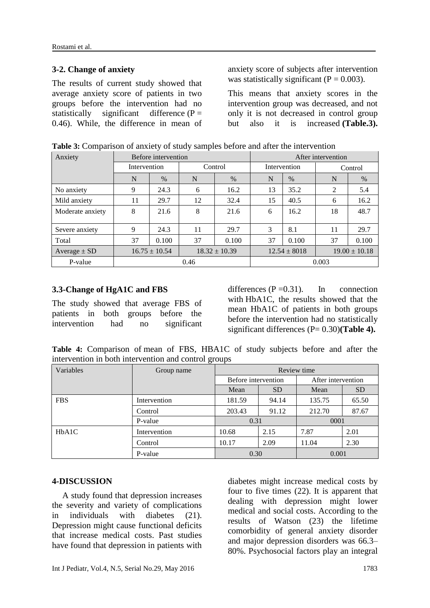#### **3-2. Change of anxiety**

The results of current study showed that average anxiety score of patients in two groups before the intervention had no statistically significant difference  $(P =$ 0.46). While, the difference in mean of anxiety score of subjects after intervention was statistically significant ( $P = 0.003$ ).

This means that anxiety scores in the intervention group was decreased, and not only it is not decreased in control group but also it is increased **(Table.3).**

| Anxiety          | Before intervention                    |       |         | After intervention |              |                   |                |       |
|------------------|----------------------------------------|-------|---------|--------------------|--------------|-------------------|----------------|-------|
|                  | Intervention                           |       | Control |                    | Intervention |                   | Control        |       |
|                  | N                                      | $\%$  | N       | $\%$               | N            | $\%$              | N              | $\%$  |
| No anxiety       | 9                                      | 24.3  | 6       | 16.2               | 13           | 35.2              | $\overline{2}$ | 5.4   |
| Mild anxiety     | 11                                     | 29.7  | 12      | 32.4               | 15           | 40.5              | 6              | 16.2  |
| Moderate anxiety | 8                                      | 21.6  | 8       | 21.6               | 6            | 16.2              | 18             | 48.7  |
| Severe anxiety   | 9                                      | 24.3  | 11      | 29.7               | 3            | 8.1               | 11             | 29.7  |
| Total            | 37                                     | 0.100 | 37      | 0.100              | 37           | 0.100             | 37             | 0.100 |
| Average $\pm$ SD | $16.75 \pm 10.54$<br>$18.32 \pm 10.39$ |       |         | $12.54 \pm 8018$   |              | $19.00 \pm 10.18$ |                |       |
| P-value          | 0.46                                   |       |         | 0.003              |              |                   |                |       |

**Table 3:** Comparison of anxiety of study samples before and after the intervention

#### **3.3-Change of HgA1C and FBS**

The study showed that average FBS of patients in both groups before the intervention had no significant differences  $(P=0.31)$ . In connection with HbA1C, the results showed that the mean HbA1C of patients in both groups before the intervention had no statistically significant differences (P= 0.30)**(Table 4).**

**Table 4:** Comparison of mean of FBS, HBA1C of study subjects before and after the intervention in both intervention and control groups

| Variables                       | Group name   | Review time         |           |                    |           |  |  |
|---------------------------------|--------------|---------------------|-----------|--------------------|-----------|--|--|
|                                 |              | Before intervention |           | After intervention |           |  |  |
|                                 |              | Mean                | <b>SD</b> | Mean               | <b>SD</b> |  |  |
| <b>FBS</b>                      | Intervention | 181.59              | 94.14     | 135.75             | 65.50     |  |  |
|                                 | Control      | 203.43              | 91.12     | 212.70             | 87.67     |  |  |
|                                 | P-value      | 0.31                |           | 0001               |           |  |  |
| H <sub>b</sub> A <sub>1</sub> C | Intervention | 10.68               | 2.15      | 7.87               | 2.01      |  |  |
|                                 | Control      | 10.17               | 2.09      | 11.04              | 2.30      |  |  |
|                                 | P-value      | 0.30                |           | 0.001              |           |  |  |

#### **4-DISCUSSION**

A study found that depression increases the severity and variety of complications in individuals with diabetes (21). Depression might cause functional deficits that increase medical costs. Past studies have found that depression in patients with

diabetes might increase medical costs by four to five times (22). It is apparent that dealing with depression might lower medical and social costs. According to the results of Watson (23) the lifetime comorbidity of general anxiety disorder and major depression disorders was 66.3– 80%. Psychosocial factors play an integral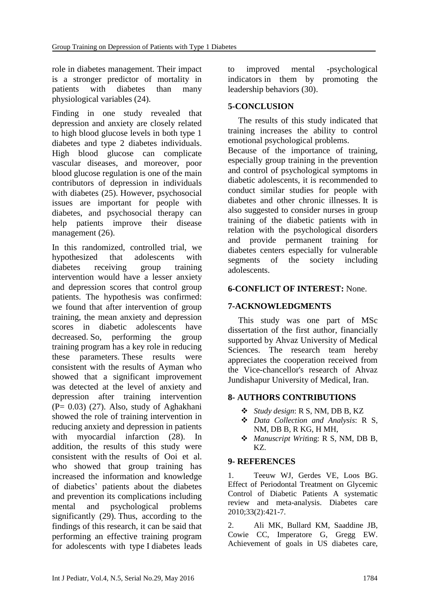role in diabetes management. Their impact is a stronger predictor of mortality in patients with diabetes than many physiological variables (24).

Finding in one study revealed that depression and anxiety are closely related to high blood glucose levels in both type 1 diabetes and type 2 diabetes individuals. High blood glucose can complicate vascular diseases, and moreover, poor blood glucose regulation is one of the main contributors of depression in individuals with diabetes (25). However, psychosocial issues are important for people with diabetes, and psychosocial therapy can help patients improve their disease management (26).

In this randomized, controlled trial, we hypothesized that adolescents with diabetes receiving group training intervention would have a lesser anxiety and depression scores that control group patients. The hypothesis was confirmed: we found that after intervention of group training, the mean anxiety and depression scores in diabetic adolescents have decreased. So, performing the group training program has a key role in reducing these parameters. These results were consistent with the results of Ayman who showed that a significant improvement was detected at the level of anxiety and depression after training intervention (P= 0.03) (27). Also, study of Aghakhani showed the role of training intervention in reducing anxiety and depression in patients with myocardial infarction (28). In addition, the results of this study were consistent with the results of Ooi et al. who showed that group training has increased the information and knowledge of diabetics' patients about the diabetes and prevention its complications including mental and psychological problems significantly (29). Thus, according to the findings of this research, it can be said that performing an effective training program for adolescents with type I diabetes leads to improved mental -psychological indicators in them by promoting the leadership behaviors (30).

### **5-CONCLUSION**

The results of this study indicated that training increases the ability to control emotional psychological problems.

Because of the importance of training, especially group training in the prevention and control of psychological symptoms in diabetic adolescents, it is recommended to conduct similar studies for people with diabetes and other chronic illnesses. It is also suggested to consider nurses in group training of the diabetic patients with in relation with the psychological disorders and provide permanent training for diabetes centers especially for vulnerable segments of the society including adolescents.

### **6-CONFLICT OF INTEREST:** None.

### **7-ACKNOWLEDGMENTS**

This study was one part of MSc dissertation of the first author, financially supported by Ahvaz University of Medical Sciences. The research team hereby appreciates the cooperation received from the Vice-chancellor's research of Ahvaz Jundishapur University of Medical, Iran.

### **8- AUTHORS CONTRIBUTIONS**

- *Study design*: R S, NM, DB B, KZ
- *Data Collection and Analysis*: R S, NM, DB B, R KG, H MH,
- *Manuscript Writ*ing: R S, NM, DB B, KZ.

### **9- REFERENCES**

1. Teeuw WJ, Gerdes VE, Loos BG. Effect of Periodontal Treatment on Glycemic Control of Diabetic Patients A systematic review and meta-analysis. Diabetes care 2010;33(2):421-7.

2. Ali MK, Bullard KM, Saaddine JB, Cowie CC, Imperatore G, Gregg EW. Achievement of goals in US diabetes care,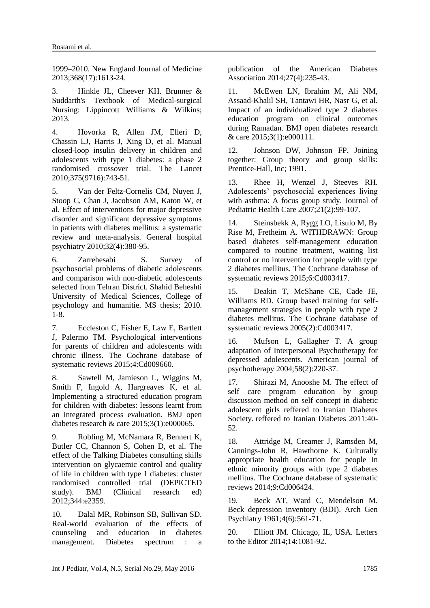1999–2010. New England Journal of Medicine 2013;368(17):1613-24.

3. Hinkle JL, Cheever KH. Brunner & Suddarth's Textbook of Medical-surgical Nursing: Lippincott Williams & Wilkins; 2013.

4. Hovorka R, Allen JM, Elleri D, Chassin LJ, Harris J, Xing D, et al. Manual closed-loop insulin delivery in children and adolescents with type 1 diabetes: a phase 2 randomised crossover trial. The Lancet 2010;375(9716):743-51.

5. Van der Feltz-Cornelis CM, Nuyen J, Stoop C, Chan J, Jacobson AM, Katon W, et al. Effect of interventions for major depressive disorder and significant depressive symptoms in patients with diabetes mellitus: a systematic review and meta-analysis. General hospital psychiatry 2010;32(4):380-95.

6. Zarrehesabi S. Survey of psychosocial problems of diabetic adolescents and comparison with non-diabetic adolescents selected from Tehran District. Shahid Beheshti University of Medical Sciences, College of psychology and humanitie. MS thesis; 2010. 1-8.

7. Eccleston C, Fisher E, Law E, Bartlett J, Palermo TM. Psychological interventions for parents of children and adolescents with chronic illness. The Cochrane database of systematic reviews 2015;4:Cd009660.

8. Sawtell M, Jamieson L, Wiggins M, Smith F, Ingold A, Hargreaves K, et al. Implementing a structured education program for children with diabetes: lessons learnt from an integrated process evaluation. BMJ open diabetes research & care 2015;3(1):e000065.

9. Robling M, McNamara R, Bennert K, Butler CC, Channon S, Cohen D, et al. The effect of the Talking Diabetes consulting skills intervention on glycaemic control and quality of life in children with type 1 diabetes: cluster randomised controlled trial (DEPICTED study). BMJ (Clinical research ed) 2012;344:e2359.

10. Dalal MR, Robinson SB, Sullivan SD. Real-world evaluation of the effects of counseling and education in diabetes management. Diabetes spectrum : a publication of the American Diabetes Association 2014;27(4):235-43.

11. McEwen LN, Ibrahim M, Ali NM, Assaad-Khalil SH, Tantawi HR, Nasr G, et al. Impact of an individualized type 2 diabetes education program on clinical outcomes during Ramadan. BMJ open diabetes research & care 2015;3(1):e000111.

12. Johnson DW, Johnson FP. Joining together: Group theory and group skills: Prentice-Hall, Inc; 1991.

13. Rhee H, Wenzel J, Steeves RH. Adolescents' psychosocial experiences living with asthma: A focus group study. Journal of Pediatric Health Care 2007;21(2):99-107.

14. Steinsbekk A, Rygg LO, Lisulo M, By Rise M, Fretheim A. WITHDRAWN: Group based diabetes self-management education compared to routine treatment, waiting list control or no intervention for people with type 2 diabetes mellitus. The Cochrane database of systematic reviews 2015;6:Cd003417.

15. Deakin T, McShane CE, Cade JE, Williams RD. Group based training for selfmanagement strategies in people with type 2 diabetes mellitus. The Cochrane database of systematic reviews 2005(2):Cd003417.

16. Mufson L, Gallagher T. A group adaptation of Interpersonal Psychotherapy for depressed adolescents. American journal of psychotherapy 2004;58(2):220-37.

17. Shirazi M, Anooshe M. The effect of self care program education by group discussion method on self concept in diabetic adolescent girls reffered to Iranian Diabetes Society. reffered to Iranian Diabetes 2011:40- 52.

18. Attridge M, Creamer J, Ramsden M, Cannings-John R, Hawthorne K. Culturally appropriate health education for people in ethnic minority groups with type 2 diabetes mellitus. The Cochrane database of systematic reviews 2014;9:Cd006424.

19. Beck AT, Ward C, Mendelson M. Beck depression inventory (BDI). Arch Gen Psychiatry 1961;4(6):561-71.

20. Elliott JM. Chicago, IL, USA. Letters to the Editor 2014;14:1081-92.